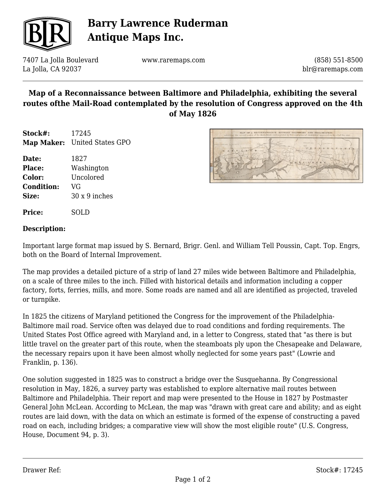

## **Barry Lawrence Ruderman Antique Maps Inc.**

7407 La Jolla Boulevard La Jolla, CA 92037

www.raremaps.com

(858) 551-8500 blr@raremaps.com

## **Map of a Reconnaissance between Baltimore and Philadelphia, exhibiting the several routes ofthe Mail-Road contemplated by the resolution of Congress approved on the 4th of May 1826**

**Stock#:** 17245 **Map Maker:** United States GPO

- **Date:** 1827 **Place:** Washington **Color:** Uncolored **Condition:** VG **Size:** 30 x 9 inches
- **Price:** SOLD

### **Description:**

Important large format map issued by S. Bernard, Brigr. Genl. and William Tell Poussin, Capt. Top. Engrs, both on the Board of Internal Improvement.

The map provides a detailed picture of a strip of land 27 miles wide between Baltimore and Philadelphia, on a scale of three miles to the inch. Filled with historical details and information including a copper factory, forts, ferries, mills, and more. Some roads are named and all are identified as projected, traveled or turnpike.

In 1825 the citizens of Maryland petitioned the Congress for the improvement of the Philadelphia-Baltimore mail road. Service often was delayed due to road conditions and fording requirements. The United States Post Office agreed with Maryland and, in a letter to Congress, stated that "as there is but little travel on the greater part of this route, when the steamboats ply upon the Chesapeake and Delaware, the necessary repairs upon it have been almost wholly neglected for some years past" (Lowrie and Franklin, p. 136).

One solution suggested in 1825 was to construct a bridge over the Susquehanna. By Congressional resolution in May, 1826, a survey party was established to explore alternative mail routes between Baltimore and Philadelphia. Their report and map were presented to the House in 1827 by Postmaster General John McLean. According to McLean, the map was "drawn with great care and ability; and as eight routes are laid down, with the data on which an estimate is formed of the expense of constructing a paved road on each, including bridges; a comparative view will show the most eligible route" (U.S. Congress, House, Document 94, p. 3).